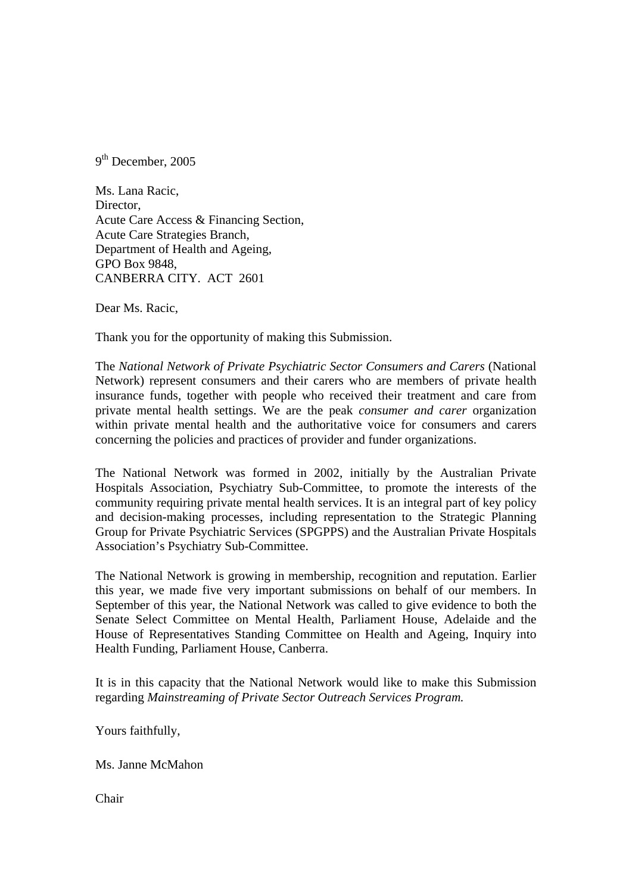9<sup>th</sup> December, 2005

Ms. Lana Racic, Director, Acute Care Access & Financing Section, Acute Care Strategies Branch, Department of Health and Ageing, GPO Box 9848, CANBERRA CITY. ACT 2601

Dear Ms. Racic,

Thank you for the opportunity of making this Submission.

The *National Network of Private Psychiatric Sector Consumers and Carers* (National Network) represent consumers and their carers who are members of private health insurance funds, together with people who received their treatment and care from private mental health settings. We are the peak *consumer and carer* organization within private mental health and the authoritative voice for consumers and carers concerning the policies and practices of provider and funder organizations.

The National Network was formed in 2002, initially by the Australian Private Hospitals Association, Psychiatry Sub-Committee, to promote the interests of the community requiring private mental health services. It is an integral part of key policy and decision-making processes, including representation to the Strategic Planning Group for Private Psychiatric Services (SPGPPS) and the Australian Private Hospitals Association's Psychiatry Sub-Committee.

The National Network is growing in membership, recognition and reputation. Earlier this year, we made five very important submissions on behalf of our members. In September of this year, the National Network was called to give evidence to both the Senate Select Committee on Mental Health, Parliament House, Adelaide and the House of Representatives Standing Committee on Health and Ageing, Inquiry into Health Funding, Parliament House, Canberra.

It is in this capacity that the National Network would like to make this Submission regarding *Mainstreaming of Private Sector Outreach Services Program.* 

Yours faithfully,

Ms. Janne McMahon

Chair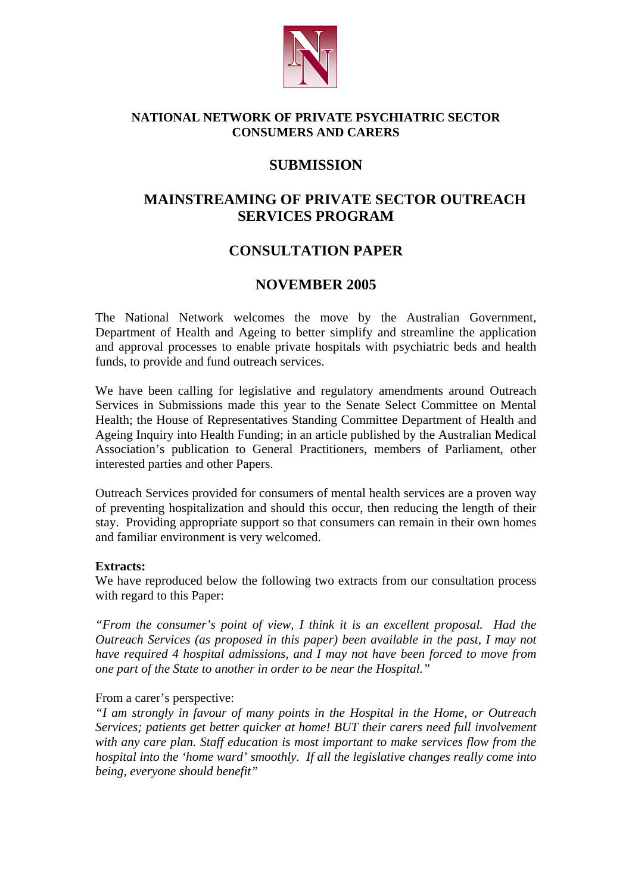

## **NATIONAL NETWORK OF PRIVATE PSYCHIATRIC SECTOR CONSUMERS AND CARERS**

## **SUBMISSION**

# **MAINSTREAMING OF PRIVATE SECTOR OUTREACH SERVICES PROGRAM**

# **CONSULTATION PAPER**

## **NOVEMBER 2005**

The National Network welcomes the move by the Australian Government, Department of Health and Ageing to better simplify and streamline the application and approval processes to enable private hospitals with psychiatric beds and health funds, to provide and fund outreach services.

We have been calling for legislative and regulatory amendments around Outreach Services in Submissions made this year to the Senate Select Committee on Mental Health; the House of Representatives Standing Committee Department of Health and Ageing Inquiry into Health Funding; in an article published by the Australian Medical Association's publication to General Practitioners, members of Parliament, other interested parties and other Papers.

Outreach Services provided for consumers of mental health services are a proven way of preventing hospitalization and should this occur, then reducing the length of their stay. Providing appropriate support so that consumers can remain in their own homes and familiar environment is very welcomed.

#### **Extracts:**

We have reproduced below the following two extracts from our consultation process with regard to this Paper:

*"From the consumer's point of view, I think it is an excellent proposal. Had the Outreach Services (as proposed in this paper) been available in the past, I may not have required 4 hospital admissions, and I may not have been forced to move from one part of the State to another in order to be near the Hospital."* 

## From a carer's perspective:

*"I am strongly in favour of many points in the Hospital in the Home, or Outreach Services; patients get better quicker at home! BUT their carers need full involvement with any care plan. Staff education is most important to make services flow from the hospital into the 'home ward' smoothly. If all the legislative changes really come into being, everyone should benefit"*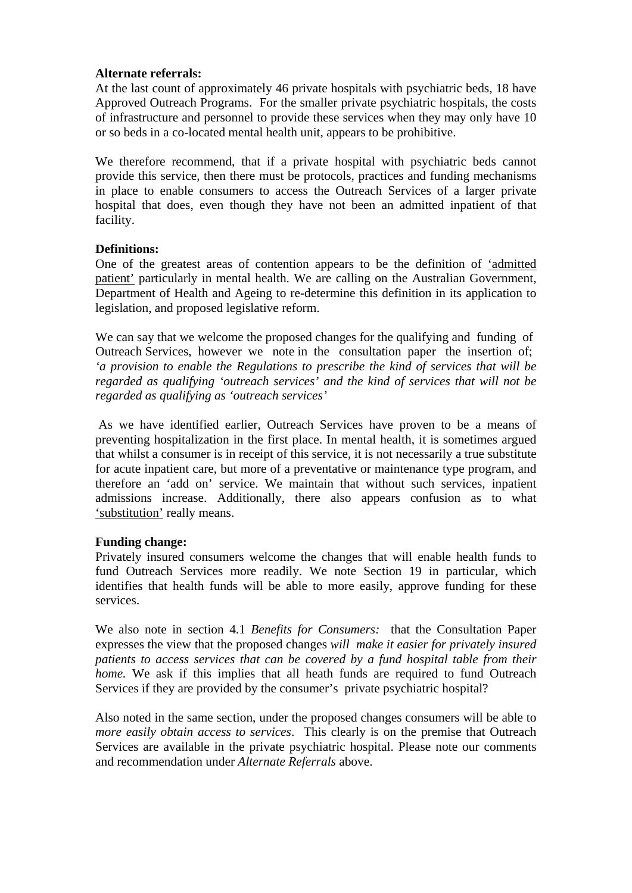### **Alternate referrals:**

At the last count of approximately 46 private hospitals with psychiatric beds, 18 have Approved Outreach Programs. For the smaller private psychiatric hospitals, the costs of infrastructure and personnel to provide these services when they may only have 10 or so beds in a co-located mental health unit, appears to be prohibitive.

We therefore recommend, that if a private hospital with psychiatric beds cannot provide this service, then there must be protocols, practices and funding mechanisms in place to enable consumers to access the Outreach Services of a larger private hospital that does, even though they have not been an admitted inpatient of that facility.

## **Definitions:**

One of the greatest areas of contention appears to be the definition of 'admitted patient' particularly in mental health. We are calling on the Australian Government, Department of Health and Ageing to re-determine this definition in its application to legislation, and proposed legislative reform.

We can say that we welcome the proposed changes for the qualifying and funding of Outreach Services, however we note in the consultation paper the insertion of; *'a provision to enable the Regulations to prescribe the kind of services that will be regarded as qualifying 'outreach services' and the kind of services that will not be regarded as qualifying as 'outreach services'*

 As we have identified earlier, Outreach Services have proven to be a means of preventing hospitalization in the first place. In mental health, it is sometimes argued that whilst a consumer is in receipt of this service, it is not necessarily a true substitute for acute inpatient care, but more of a preventative or maintenance type program, and therefore an 'add on' service. We maintain that without such services, inpatient admissions increase. Additionally, there also appears confusion as to what 'substitution' really means.

#### **Funding change:**

Privately insured consumers welcome the changes that will enable health funds to fund Outreach Services more readily. We note Section 19 in particular, which identifies that health funds will be able to more easily, approve funding for these services.

We also note in section 4.1 *Benefits for Consumers:* that the Consultation Paper expresses the view that the proposed changes *will make it easier for privately insured patients to access services that can be covered by a fund hospital table from their home.* We ask if this implies that all heath funds are required to fund Outreach Services if they are provided by the consumer's private psychiatric hospital?

Also noted in the same section, under the proposed changes consumers will be able to *more easily obtain access to services*. This clearly is on the premise that Outreach Services are available in the private psychiatric hospital. Please note our comments and recommendation under *Alternate Referrals* above.